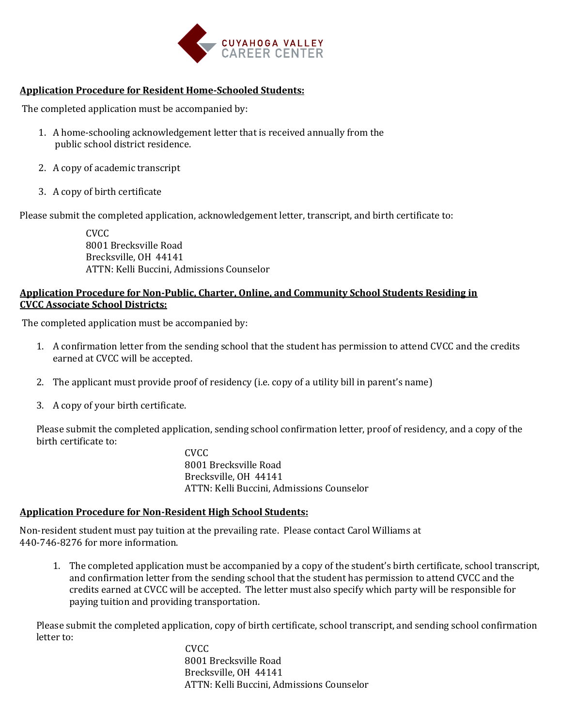

## **Application Procedure for Resident Home-Schooled Students:**

The completed application must be accompanied by:

- 1. A home-schooling acknowledgement letter that is received annually from the public school district residence.
- 2. A copy of academic transcript
- 3. A copy of birth certificate

Please submit the completed application, acknowledgement letter, transcript, and birth certificate to:

CVCC 8001 Brecksville Road Brecksville, OH 44141 ATTN: Kelli Buccini, Admissions Counselor

## **Application Procedure for Non-Public, Charter, Online, and Community School Students Residing in CVCC Associate School Districts:**

The completed application must be accompanied by:

- 1. A confirmation letter from the sending school that the student has permission to attend CVCC and the credits earned at CVCC will be accepted.
- 2. The applicant must provide proof of residency (i.e. copy of a utility bill in parent's name)
- 3. A copy of your birth certificate.

Please submit the completed application, sending school confirmation letter, proof of residency, and a copy of the birth certificate to:

CVCC 8001 Brecksville Road Brecksville, OH 44141 ATTN: Kelli Buccini, Admissions Counselor

## **Application Procedure for Non-Resident High School Students:**

Non-resident student must pay tuition at the prevailing rate. Please contact Carol Williams at 440-746-8276 for more information.

1. The completed application must be accompanied by a copy of the student's birth certificate, school transcript, and confirmation letter from the sending school that the student has permission to attend CVCC and the credits earned at CVCC will be accepted. The letter must also specify which party will be responsible for paying tuition and providing transportation.

Please submit the completed application, copy of birth certificate, school transcript, and sending school confirmation letter to:

 CVCC 8001 Brecksville Road Brecksville, OH 44141 ATTN: Kelli Buccini, Admissions Counselor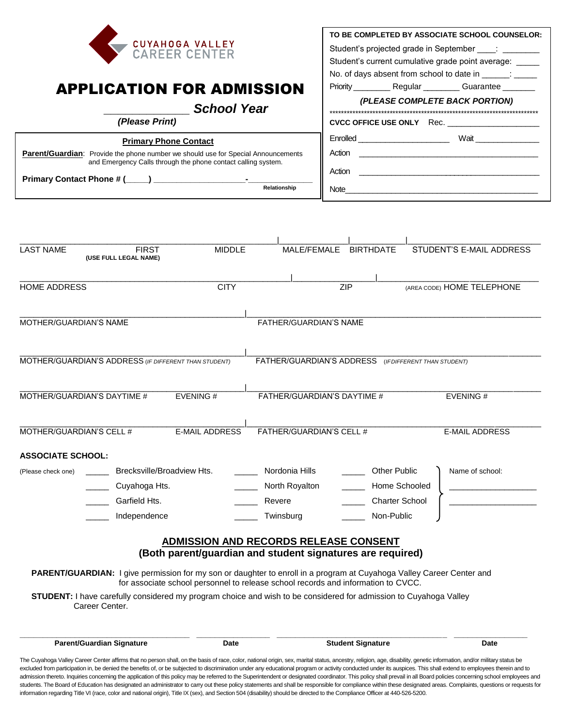

## APPLICATION FOR ADMISSION

 *\_\_\_\_\_\_\_\_\_\_\_\_ School Year* 

| (Please Print)                                                                                                                                            |                     |  |  |
|-----------------------------------------------------------------------------------------------------------------------------------------------------------|---------------------|--|--|
| <b>Primary Phone Contact</b>                                                                                                                              |                     |  |  |
| <b>Parent/Guardian:</b> Provide the phone number we should use for Special Announcements<br>and Emergency Calls through the phone contact calling system. |                     |  |  |
| Primary Contact Phone # (____) __<br>۰                                                                                                                    |                     |  |  |
|                                                                                                                                                           | <b>Relationship</b> |  |  |

|                                                         |                                       |  | TO BE COMPLETED BY ASSOCIATE SCHOOL COUNSELOR:                  |
|---------------------------------------------------------|---------------------------------------|--|-----------------------------------------------------------------|
| Student's projected grade in September : _________      |                                       |  |                                                                 |
| Student's current cumulative grade point average: _____ |                                       |  |                                                                 |
| No. of days absent from school to date in Theory is     |                                       |  |                                                                 |
|                                                         |                                       |  | Priority _____________ Regular ____________ Guarantee _________ |
| (PLEASE COMPLETE BACK PORTION)                          |                                       |  |                                                                 |
|                                                         |                                       |  |                                                                 |
|                                                         |                                       |  | CVCC OFFICE USE ONLY Rec.                                       |
|                                                         | Enrolled ____________________________ |  | Wait                                                            |
|                                                         |                                       |  |                                                                 |
| Action                                                  |                                       |  |                                                                 |
| Note                                                    |                                       |  |                                                                 |

| <b>LAST NAME</b><br><b>FIRST</b><br>(USE FULL LEGAL NAME)                                                                           | <b>MIDDLE</b>                                                                                              | MALE/FEMALE                                          | <b>BIRTHDATE</b>         | STUDENT'S E-MAIL ADDRESS   |  |
|-------------------------------------------------------------------------------------------------------------------------------------|------------------------------------------------------------------------------------------------------------|------------------------------------------------------|--------------------------|----------------------------|--|
|                                                                                                                                     |                                                                                                            |                                                      |                          |                            |  |
| <b>HOME ADDRESS</b>                                                                                                                 | <b>CITY</b>                                                                                                |                                                      | <b>ZIP</b>               | (AREA CODE) HOME TELEPHONE |  |
| MOTHER/GUARDIAN'S NAME                                                                                                              |                                                                                                            | <b>FATHER/GUARDIAN'S NAME</b>                        |                          |                            |  |
| MOTHER/GUARDIAN'S ADDRESS (IF DIFFERENT THAN STUDENT)                                                                               |                                                                                                            | FATHER/GUARDIAN'S ADDRESS (IFDIFFERENT THAN STUDENT) |                          |                            |  |
| MOTHER/GUARDIAN'S DAYTIME #                                                                                                         | EVENING#                                                                                                   | FATHER/GUARDIAN'S DAYTIME #                          |                          | EVENING#                   |  |
| MOTHER/GUARDIAN'S CELL #                                                                                                            | <b>E-MAIL ADDRESS</b>                                                                                      | FATHER/GUARDIAN'S CELL #                             |                          | <b>E-MAIL ADDRESS</b>      |  |
| <b>ASSOCIATE SCHOOL:</b>                                                                                                            |                                                                                                            |                                                      |                          |                            |  |
| Brecksville/Broadview Hts.<br>(Please check one)                                                                                    |                                                                                                            | Nordonia Hills                                       | <b>Other Public</b>      | Name of school:            |  |
| Cuyahoga Hts.                                                                                                                       |                                                                                                            | North Royalton                                       | Home Schooled            |                            |  |
| Garfield Hts.                                                                                                                       |                                                                                                            | Revere                                               | <b>Charter School</b>    |                            |  |
| Independence                                                                                                                        |                                                                                                            | Twinsburg                                            | Non-Public               |                            |  |
|                                                                                                                                     | <b>ADMISSION AND RECORDS RELEASE CONSENT</b><br>(Both parent/guardian and student signatures are required) |                                                      |                          |                            |  |
| PARENT/GUARDIAN: I give permission for my son or daughter to enroll in a program at Cuyahoga Valley Career Center and               | for associate school personnel to release school records and information to CVCC.                          |                                                      |                          |                            |  |
| STUDENT: I have carefully considered my program choice and wish to be considered for admission to Cuyahoga Valley<br>Career Center. |                                                                                                            |                                                      |                          |                            |  |
| <b>Parent/Guardian Signature</b>                                                                                                    | Date                                                                                                       |                                                      | <b>Student Signature</b> | Date                       |  |

admission thereto. Inquiries concerning the application of this policy may be referred to the Superintendent or designated coordinator. This policy shall prevail in all Board policies concerning school employees and students. The Board of Education has designated an administrator to carry out these policy statements and shall be responsible for compliance within these designated areas. Complaints, questions or requests for information regarding Title VI (race, color and national origin), Title IX (sex), and Section 504 (disability) should be directed to the Compliance Officer at 440-526-5200.